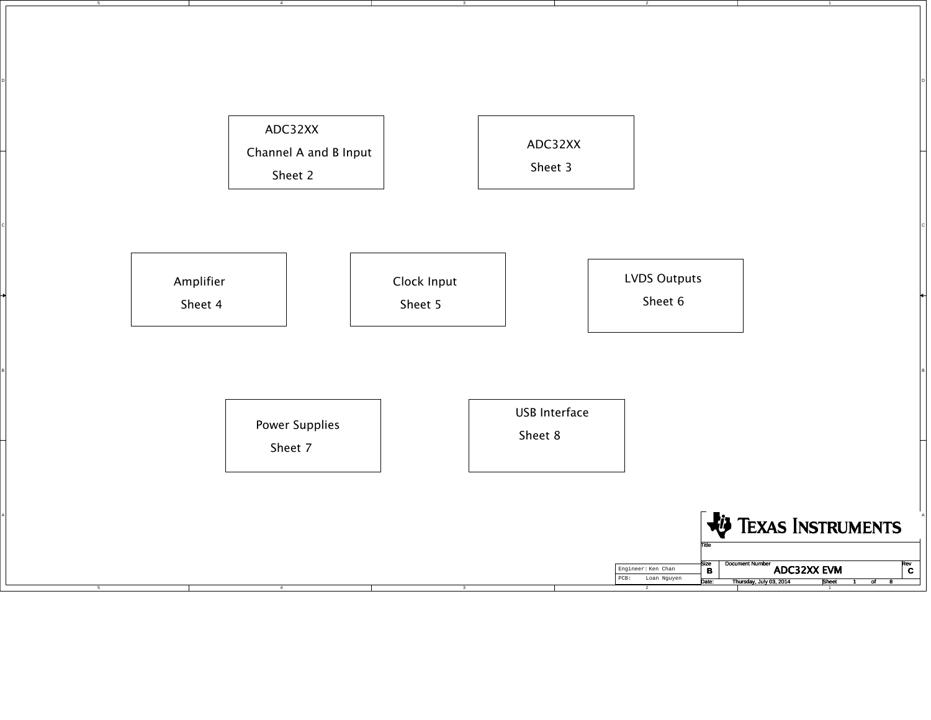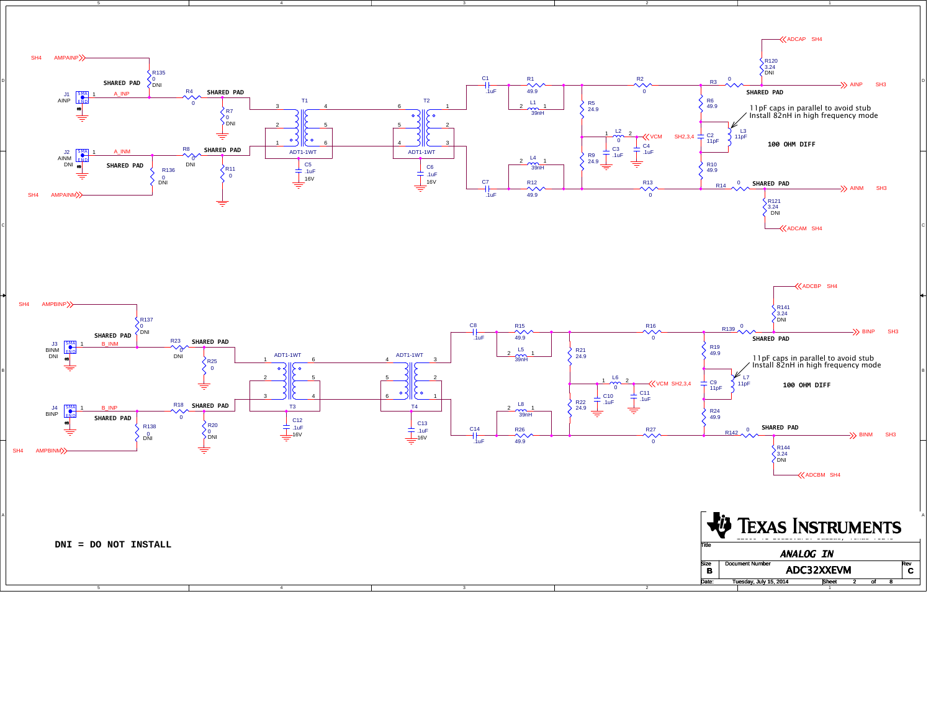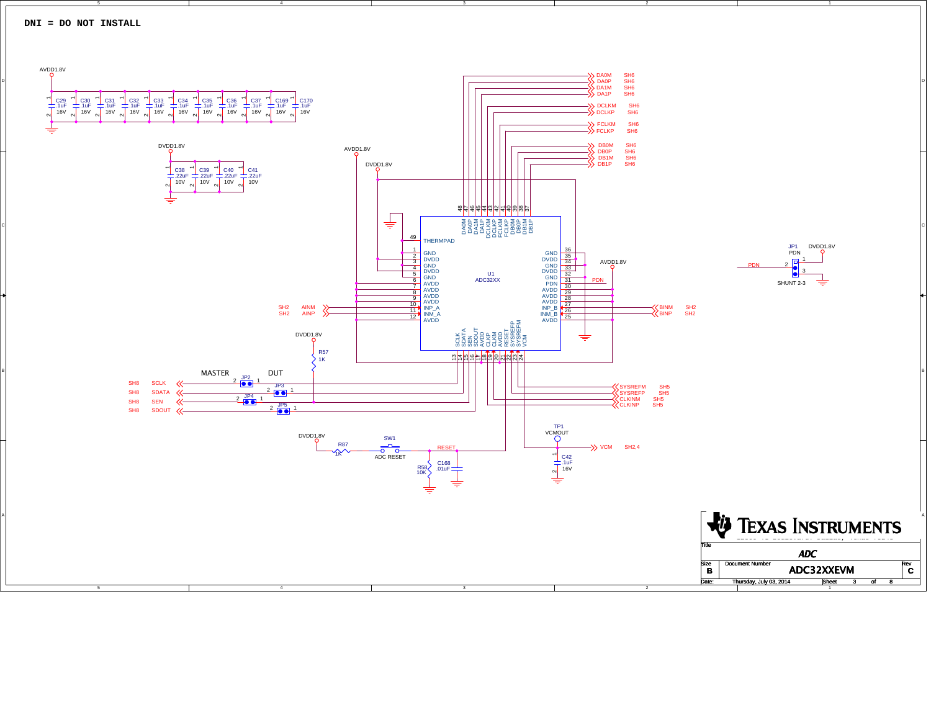

D

B

A

4

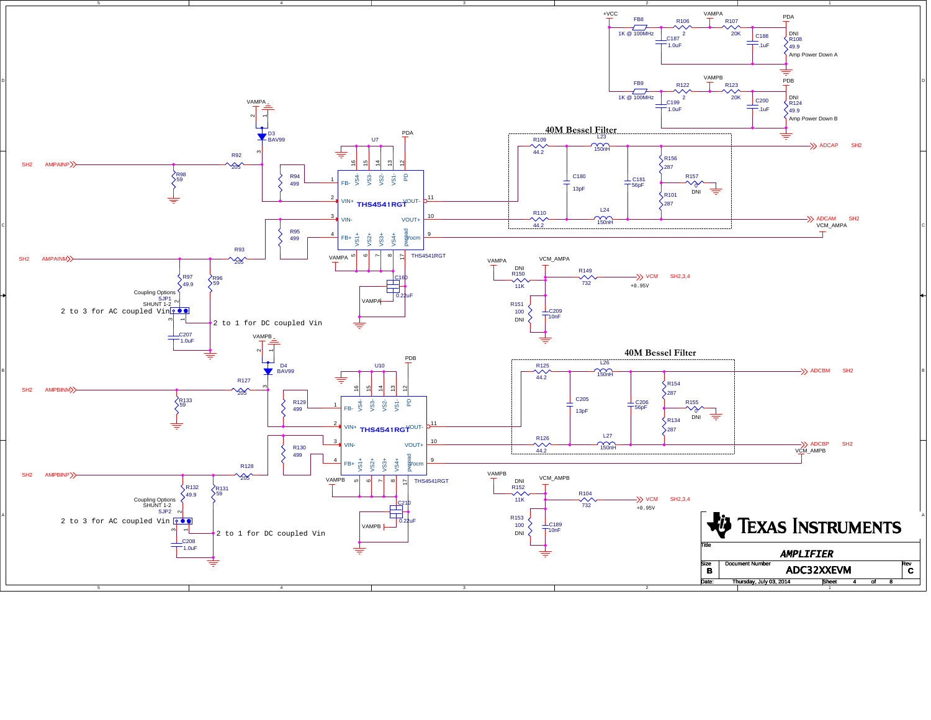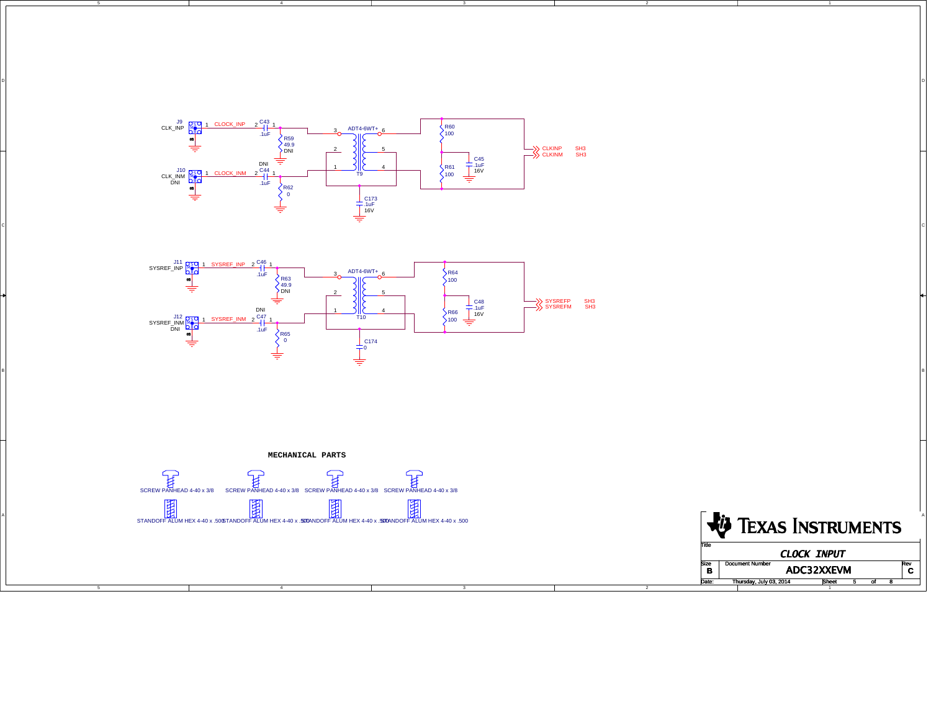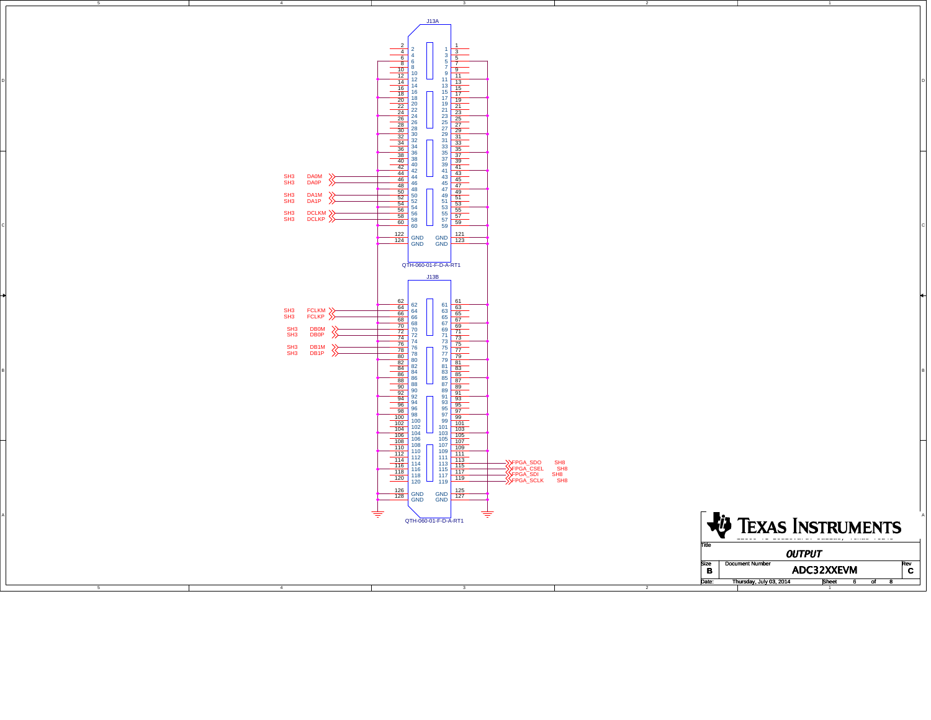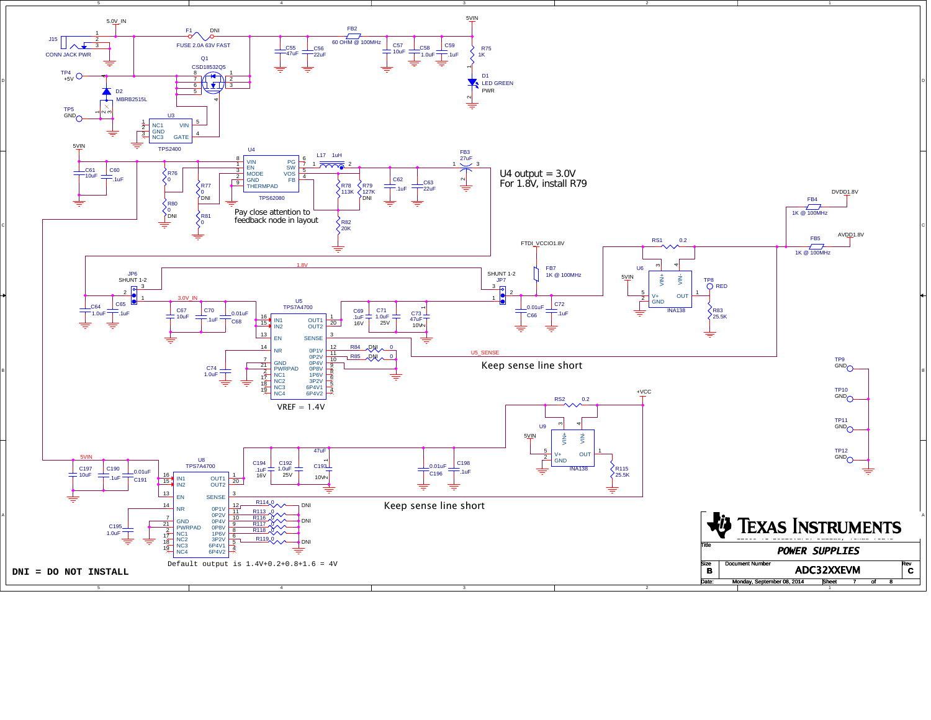